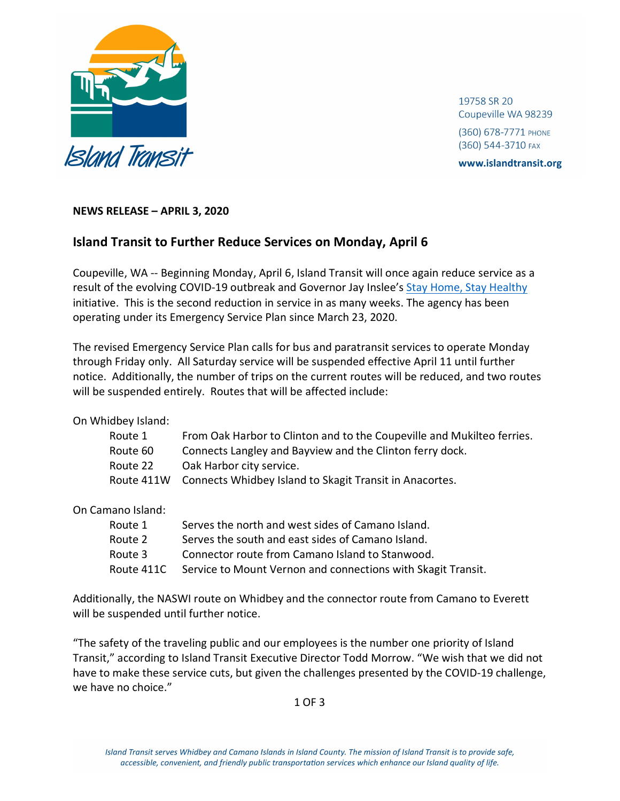

19758 SR 20 Coupeville WA 98239 (360) 678-7771 PHONE

(360) 544-3710 FAX

www.islandtransit.org

## **NEWS RELEASE – APRIL 3, 2020**

## **Island Transit to Further Reduce Services on Monday, April 6**

Coupeville, WA -- Beginning Monday, April 6, Island Transit will once again reduce service as a result of the evolving COVID-19 outbreak and Governor Jay Inslee's [Stay Home, Stay Healthy](https://www.governor.wa.gov/news-media/inslee-extends-stay-home-stay-healthy-through-may-4) initiative. This is the second reduction in service in as many weeks. The agency has been operating under its Emergency Service Plan since March 23, 2020.

The revised Emergency Service Plan calls for bus and paratransit services to operate Monday through Friday only. All Saturday service will be suspended effective April 11 until further notice. Additionally, the number of trips on the current routes will be reduced, and two routes will be suspended entirely. Routes that will be affected include:

On Whidbey Island:

| Route 1  | From Oak Harbor to Clinton and to the Coupeville and Mukilteo ferries. |
|----------|------------------------------------------------------------------------|
| Route 60 | Connects Langley and Bayview and the Clinton ferry dock.               |
| Route 22 | Oak Harbor city service.                                               |
|          | Route 411W Connects Whidbey Island to Skagit Transit in Anacortes.     |

On Camano Island:

| Route 1    | Serves the north and west sides of Camano Island.            |
|------------|--------------------------------------------------------------|
| Route 2    | Serves the south and east sides of Camano Island.            |
| Route 3    | Connector route from Camano Island to Stanwood.              |
| Route 411C | Service to Mount Vernon and connections with Skagit Transit. |

Additionally, the NASWI route on Whidbey and the connector route from Camano to Everett will be suspended until further notice.

"The safety of the traveling public and our employees is the number one priority of Island Transit," according to Island Transit Executive Director Todd Morrow. "We wish that we did not have to make these service cuts, but given the challenges presented by the COVID-19 challenge, we have no choice."

1 OF 3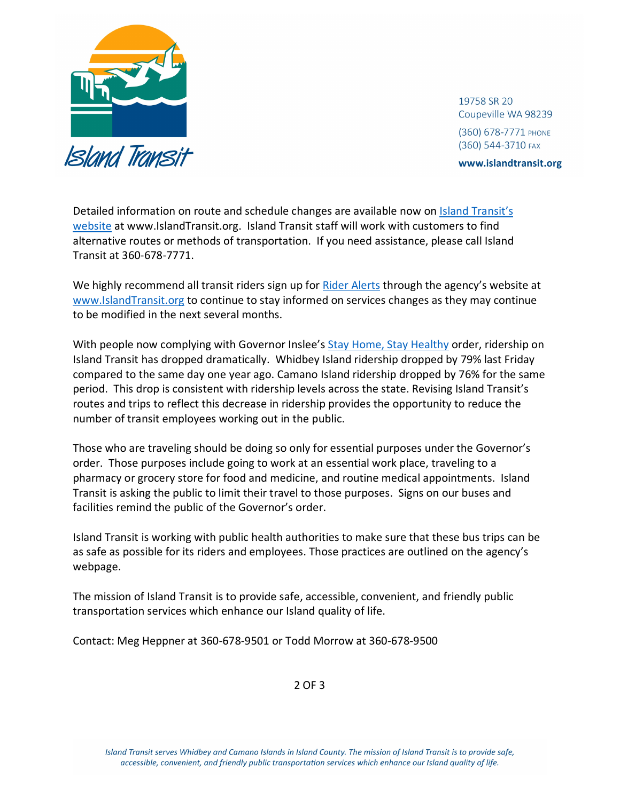

19758 SR 20 Coupeville WA 98239 (360) 678-7771 РНОМЕ (360) 544-3710 FAX

www.islandtransit.org

Detailed information on route and schedule changes are available now on *Island Transit's* [website](https://www.islandtransit.org/routes-and-schedules---covid-19--april--6--2020) at www.IslandTransit.org. Island Transit staff will work with customers to find alternative routes or methods of transportation. If you need assistance, please call Island Transit at 360-678-7771.

We highly recommend all transit riders sign up for [Rider Alerts](https://islandtransit.us12.list-manage.com/subscribe?u=222a1cd5b39dcd71b86f647fb&id=2ba073f1d0) through the agency's website at [www.IslandTransit.org](http://www.islandtransit.org/) to continue to stay informed on services changes as they may continue to be modified in the next several months.

With people now complying with Governor Inslee's [Stay Home, Stay Healthy](https://www.governor.wa.gov/news-media/inslee-extends-stay-home-stay-healthy-through-may-4) order, ridership on Island Transit has dropped dramatically. Whidbey Island ridership dropped by 79% last Friday compared to the same day one year ago. Camano Island ridership dropped by 76% for the same period. This drop is consistent with ridership levels across the state. Revising Island Transit's routes and trips to reflect this decrease in ridership provides the opportunity to reduce the number of transit employees working out in the public.

Those who are traveling should be doing so only for essential purposes under the Governor's order. Those purposes include going to work at an essential work place, traveling to a pharmacy or grocery store for food and medicine, and routine medical appointments. Island Transit is asking the public to limit their travel to those purposes. Signs on our buses and facilities remind the public of the Governor's order.

Island Transit is working with public health authorities to make sure that these bus trips can be as safe as possible for its riders and employees. Those practices are outlined on the agency's webpage.

The mission of Island Transit is to provide safe, accessible, convenient, and friendly public transportation services which enhance our Island quality of life.

Contact: Meg Heppner at 360-678-9501 or Todd Morrow at 360-678-9500

2 OF 3

Island Transit serves Whidbey and Camano Islands in Island County. The mission of Island Transit is to provide safe, accessible, convenient, and friendly public transportation services which enhance our Island quality of life.